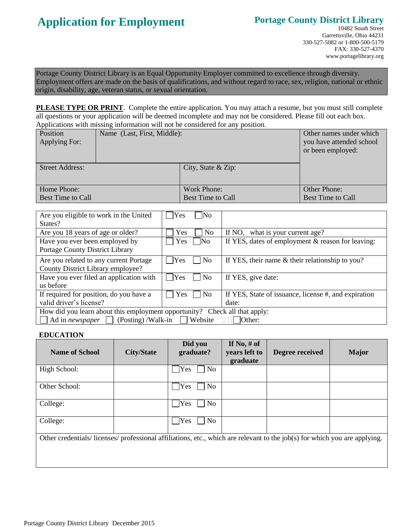# **Application for Employment**

## **Portage County District Library**

Portage County District Library is an Equal Opportunity Employer committed to excellence through diversity. Employment offers are made on the basis of qualifications, and without regard to race, sex, religion, national or ethnic origin, disability, age, veteran status, or sexual orientation.

**PLEASE TYPE OR PRINT**. Complete the entire application. You may attach a resume, but you must still complete all questions or your application will be deemed incomplete and may not be considered. Please fill out each box. Applications with missing information will not be considered for any position.

| Position<br>Applying For:        | Name (Last, First, Middle): |                                                | Other names under which<br>you have attended school<br>or been employed: |
|----------------------------------|-----------------------------|------------------------------------------------|--------------------------------------------------------------------------|
| <b>Street Address:</b>           |                             | City, State $&$ Zip:                           |                                                                          |
| Home Phone:<br>Best Time to Call |                             | <b>Work Phone:</b><br><b>Best Time to Call</b> | Other Phone:<br><b>Best Time to Call</b>                                 |

| Are you eligible to work in the United                                     | Yes<br> No                 |                                                      |  |  |
|----------------------------------------------------------------------------|----------------------------|------------------------------------------------------|--|--|
| States?                                                                    |                            |                                                      |  |  |
| Are you 18 years of age or older?                                          | Yes<br>N <sub>0</sub>      | If NO, what is your current age?                     |  |  |
| Have you ever been employed by                                             | Yes<br>$\overline{\rm No}$ | If YES, dates of employment & reason for leaving:    |  |  |
| Portage County District Library                                            |                            |                                                      |  |  |
| Are you related to any current Portage                                     | Yes<br>N <sub>0</sub>      | If YES, their name $&$ their relationship to you?    |  |  |
| County District Library employee?                                          |                            |                                                      |  |  |
| Have you ever filed an application with                                    | Yes<br>N <sub>0</sub>      | If YES, give date:                                   |  |  |
| us before                                                                  |                            |                                                      |  |  |
| If required for position, do you have a                                    | Yes<br>$\overline{\rm No}$ | If YES, State of issuance, license #, and expiration |  |  |
| valid driver's license?                                                    |                            | date:                                                |  |  |
| How did you learn about this employment opportunity? Check all that apply: |                            |                                                      |  |  |
| $(Posting)$ /Walk-in<br>Website<br>Ad in newspaper<br>$I$ Other:           |                            |                                                      |  |  |

### **EDUCATION**

| <b>Name of School</b>                                                                                                    | <b>City/State</b> | Did you<br>graduate?  | If No, $#$ of<br>years left to<br>graduate | Degree received | <b>Major</b> |
|--------------------------------------------------------------------------------------------------------------------------|-------------------|-----------------------|--------------------------------------------|-----------------|--------------|
| High School:                                                                                                             |                   | Yes<br>No             |                                            |                 |              |
| Other School:                                                                                                            |                   | Yes<br>No             |                                            |                 |              |
| College:                                                                                                                 |                   | Yes<br>No             |                                            |                 |              |
| College:                                                                                                                 |                   | N <sub>o</sub><br>Yes |                                            |                 |              |
| Other credentials/licenses/professional affiliations, etc., which are relevant to the job(s) for which you are applying. |                   |                       |                                            |                 |              |
|                                                                                                                          |                   |                       |                                            |                 |              |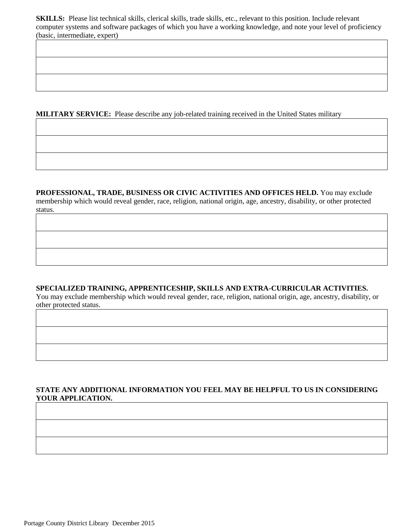**SKILLS:** Please list technical skills, clerical skills, trade skills, etc., relevant to this position. Include relevant computer systems and software packages of which you have a working knowledge, and note your level of proficiency (basic, intermediate, expert)

**MILITARY SERVICE:** Please describe any job-related training received in the United States military

**PROFESSIONAL, TRADE, BUSINESS OR CIVIC ACTIVITIES AND OFFICES HELD.** You may exclude membership which would reveal gender, race, religion, national origin, age, ancestry, disability, or other protected status.

### **SPECIALIZED TRAINING, APPRENTICESHIP, SKILLS AND EXTRA-CURRICULAR ACTIVITIES.**

You may exclude membership which would reveal gender, race, religion, national origin, age, ancestry, disability, or other protected status.

## **STATE ANY ADDITIONAL INFORMATION YOU FEEL MAY BE HELPFUL TO US IN CONSIDERING YOUR APPLICATION.**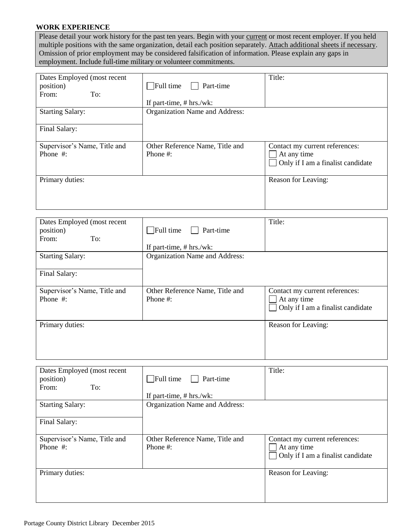## **WORK EXPERIENCE**

Please detail your work history for the past ten years. Begin with your current or most recent employer. If you held multiple positions with the same organization, detail each position separately. Attach additional sheets if necessary. Omission of prior employment may be considered falsification of information. Please explain any gaps in employment. Include full-time military or volunteer commitments.

| Dates Employed (most recent<br>position)<br>To:<br>From: | Full time<br>Part-time<br>If part-time, $# hrs./wk$ : | Title:                                                                             |
|----------------------------------------------------------|-------------------------------------------------------|------------------------------------------------------------------------------------|
| <b>Starting Salary:</b>                                  | Organization Name and Address:                        |                                                                                    |
| Final Salary:                                            |                                                       |                                                                                    |
| Supervisor's Name, Title and<br>Phone #:                 | Other Reference Name, Title and<br>Phone $#$ :        | Contact my current references:<br>At any time<br>Only if I am a finalist candidate |
| Primary duties:                                          |                                                       | Reason for Leaving:                                                                |

| Dates Employed (most recent<br>position)<br>To:<br>From: | Full time<br>Part-time<br>If part-time, # hrs./wk: | Title:                                                                                               |
|----------------------------------------------------------|----------------------------------------------------|------------------------------------------------------------------------------------------------------|
| <b>Starting Salary:</b>                                  | Organization Name and Address:                     |                                                                                                      |
| Final Salary:                                            |                                                    |                                                                                                      |
| Supervisor's Name, Title and<br>Phone #:                 | Other Reference Name, Title and<br>Phone $#$ :     | Contact my current references:<br>At any time<br>Only if I am a finalist candidate<br>$\blacksquare$ |
| Primary duties:                                          |                                                    | Reason for Leaving:                                                                                  |

| Dates Employed (most recent<br>position)<br>To:<br>From: | $\Box$ Full time<br>Part-time<br>If part-time, $# hrs./wk$ : | Title:                                                                                               |
|----------------------------------------------------------|--------------------------------------------------------------|------------------------------------------------------------------------------------------------------|
| <b>Starting Salary:</b>                                  | Organization Name and Address:                               |                                                                                                      |
| Final Salary:                                            |                                                              |                                                                                                      |
| Supervisor's Name, Title and<br>Phone #:                 | Other Reference Name, Title and<br>Phone $#$ :               | Contact my current references:<br>At any time<br>Only if I am a finalist candidate<br>$\blacksquare$ |
| Primary duties:                                          |                                                              | Reason for Leaving:                                                                                  |